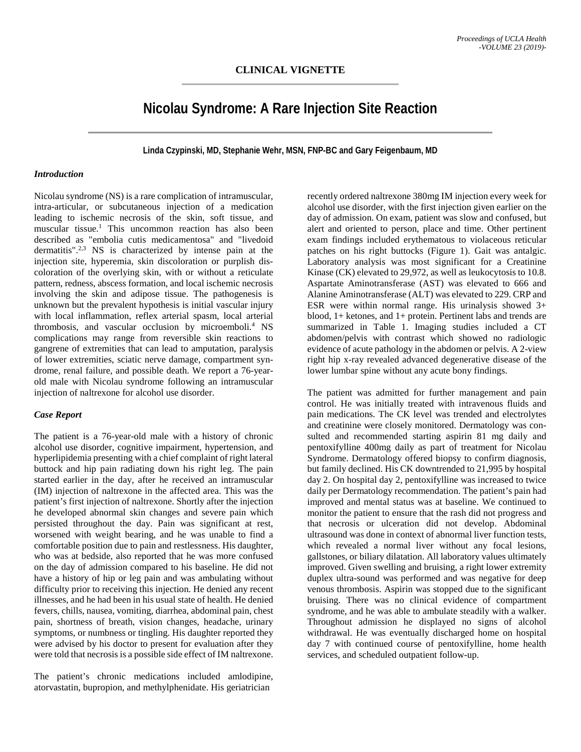# **Nicolau Syndrome: A Rare Injection Site Reaction**

**Linda Czypinski, MD, Stephanie Wehr, MSN, FNP-BC and Gary Feigenbaum, MD**

### *Introduction*

Nicolau syndrome (NS) is a rare complication of intramuscular, intra-articular, or subcutaneous injection of a medication leading to ischemic necrosis of the skin, soft tissue, and muscular tissue.<sup>1</sup> This uncommon reaction has also been described as "embolia cutis medicamentosa" and "livedoid dermatitis".2,3 NS is characterized by intense pain at the injection site, hyperemia, skin discoloration or purplish discoloration of the overlying skin, with or without a reticulate pattern, redness, abscess formation, and local ischemic necrosis involving the skin and adipose tissue. The pathogenesis is unknown but the prevalent hypothesis is initial vascular injury with local inflammation, reflex arterial spasm, local arterial thrombosis, and vascular occlusion by microemboli.4 NS complications may range from reversible skin reactions to gangrene of extremities that can lead to amputation, paralysis of lower extremities, sciatic nerve damage, compartment syndrome, renal failure, and possible death. We report a 76-yearold male with Nicolau syndrome following an intramuscular injection of naltrexone for alcohol use disorder.

## *Case Report*

The patient is a 76-year-old male with a history of chronic alcohol use disorder, cognitive impairment, hypertension, and hyperlipidemia presenting with a chief complaint of right lateral buttock and hip pain radiating down his right leg. The pain started earlier in the day, after he received an intramuscular (IM) injection of naltrexone in the affected area. This was the patient's first injection of naltrexone. Shortly after the injection he developed abnormal skin changes and severe pain which persisted throughout the day. Pain was significant at rest, worsened with weight bearing, and he was unable to find a comfortable position due to pain and restlessness. His daughter, who was at bedside, also reported that he was more confused on the day of admission compared to his baseline. He did not have a history of hip or leg pain and was ambulating without difficulty prior to receiving this injection. He denied any recent illnesses, and he had been in his usual state of health. He denied fevers, chills, nausea, vomiting, diarrhea, abdominal pain, chest pain, shortness of breath, vision changes, headache, urinary symptoms, or numbness or tingling. His daughter reported they were advised by his doctor to present for evaluation after they were told that necrosis is a possible side effect of IM naltrexone.

The patient's chronic medications included amlodipine, atorvastatin, bupropion, and methylphenidate. His geriatrician

recently ordered naltrexone 380mg IM injection every week for alcohol use disorder, with the first injection given earlier on the day of admission. On exam, patient was slow and confused, but alert and oriented to person, place and time. Other pertinent exam findings included erythematous to violaceous reticular patches on his right buttocks (Figure 1). Gait was antalgic. Laboratory analysis was most significant for a Creatinine Kinase (CK) elevated to 29,972, as well as leukocytosis to 10.8. Aspartate Aminotransferase (AST) was elevated to 666 and Alanine Aminotransferase (ALT) was elevated to 229. CRP and ESR were within normal range. His urinalysis showed 3+ blood, 1+ ketones, and 1+ protein. Pertinent labs and trends are summarized in Table 1. Imaging studies included a CT abdomen/pelvis with contrast which showed no radiologic evidence of acute pathology in the abdomen or pelvis. A 2-view right hip x-ray revealed advanced degenerative disease of the lower lumbar spine without any acute bony findings.

The patient was admitted for further management and pain control. He was initially treated with intravenous fluids and pain medications. The CK level was trended and electrolytes and creatinine were closely monitored. Dermatology was consulted and recommended starting aspirin 81 mg daily and pentoxifylline 400mg daily as part of treatment for Nicolau Syndrome. Dermatology offered biopsy to confirm diagnosis, but family declined. His CK downtrended to 21,995 by hospital day 2. On hospital day 2, pentoxifylline was increased to twice daily per Dermatology recommendation. The patient's pain had improved and mental status was at baseline. We continued to monitor the patient to ensure that the rash did not progress and that necrosis or ulceration did not develop. Abdominal ultrasound was done in context of abnormal liver function tests, which revealed a normal liver without any focal lesions, gallstones, or biliary dilatation. All laboratory values ultimately improved. Given swelling and bruising, a right lower extremity duplex ultra-sound was performed and was negative for deep venous thrombosis. Aspirin was stopped due to the significant bruising. There was no clinical evidence of compartment syndrome, and he was able to ambulate steadily with a walker. Throughout admission he displayed no signs of alcohol withdrawal. He was eventually discharged home on hospital day 7 with continued course of pentoxifylline, home health services, and scheduled outpatient follow-up.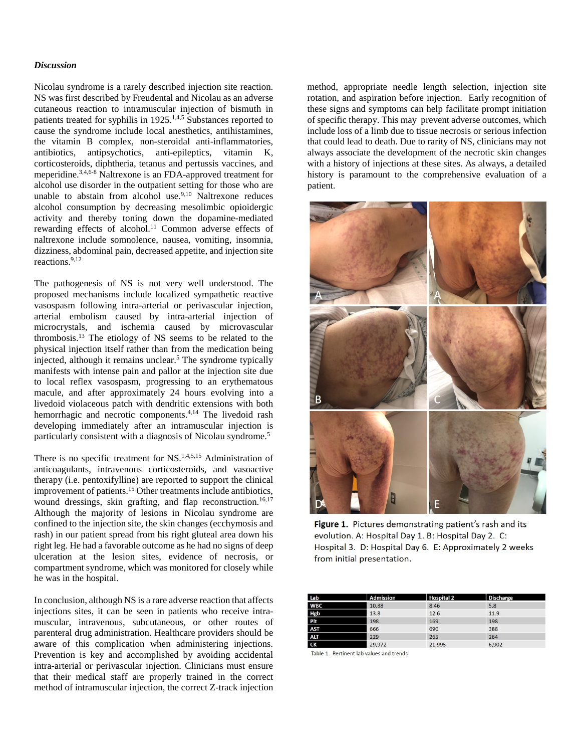#### *Discussion*

Nicolau syndrome is a rarely described injection site reaction. NS was first described by Freudental and Nicolau as an adverse cutaneous reaction to intramuscular injection of bismuth in patients treated for syphilis in 1925.<sup>1,4,5</sup> Substances reported to cause the syndrome include local anesthetics, antihistamines, the vitamin B complex, non-steroidal anti-inflammatories, antibiotics, antipsychotics, anti-epileptics, vitamin K, corticosteroids, diphtheria, tetanus and pertussis vaccines, and meperidine.3,4,6-8 Naltrexone is an FDA-approved treatment for alcohol use disorder in the outpatient setting for those who are unable to abstain from alcohol use.<sup>9,10</sup> Naltrexone reduces alcohol consumption by decreasing mesolimbic opioidergic activity and thereby toning down the dopamine-mediated rewarding effects of alcohol.<sup>11</sup> Common adverse effects of naltrexone include somnolence, nausea, vomiting, insomnia, dizziness, abdominal pain, decreased appetite, and injection site reactions.9,12

The pathogenesis of NS is not very well understood. The proposed mechanisms include localized sympathetic reactive vasospasm following intra-arterial or perivascular injection, arterial embolism caused by intra-arterial injection of microcrystals, and ischemia caused by microvascular thrombosis.13 The etiology of NS seems to be related to the physical injection itself rather than from the medication being injected, although it remains unclear.5 The syndrome typically manifests with intense pain and pallor at the injection site due to local reflex vasospasm, progressing to an erythematous macule, and after approximately 24 hours evolving into a livedoid violaceous patch with dendritic extensions with both hemorrhagic and necrotic components.<sup>4,14</sup> The livedoid rash developing immediately after an intramuscular injection is particularly consistent with a diagnosis of Nicolau syndrome.5

There is no specific treatment for NS.<sup>1,4,5,15</sup> Administration of anticoagulants, intravenous corticosteroids, and vasoactive therapy (i.e. pentoxifylline) are reported to support the clinical improvement of patients.15 Other treatments include antibiotics, wound dressings, skin grafting, and flap reconstruction.<sup>16,17</sup> Although the majority of lesions in Nicolau syndrome are confined to the injection site, the skin changes (ecchymosis and rash) in our patient spread from his right gluteal area down his right leg. He had a favorable outcome as he had no signs of deep ulceration at the lesion sites, evidence of necrosis, or compartment syndrome, which was monitored for closely while he was in the hospital.

In conclusion, although NS is a rare adverse reaction that affects injections sites, it can be seen in patients who receive intramuscular, intravenous, subcutaneous, or other routes of parenteral drug administration. Healthcare providers should be aware of this complication when administering injections. Prevention is key and accomplished by avoiding accidental intra-arterial or perivascular injection. Clinicians must ensure that their medical staff are properly trained in the correct method of intramuscular injection, the correct Z-track injection

method, appropriate needle length selection, injection site rotation, and aspiration before injection. Early recognition of these signs and symptoms can help facilitate prompt initiation of specific therapy. This may prevent adverse outcomes, which include loss of a limb due to tissue necrosis or serious infection that could lead to death. Due to rarity of NS, clinicians may not always associate the development of the necrotic skin changes with a history of injections at these sites. As always, a detailed history is paramount to the comprehensive evaluation of a patient.



Figure 1. Pictures demonstrating patient's rash and its evolution. A: Hospital Day 1. B: Hospital Day 2. C: Hospital 3. D: Hospital Day 6. E: Approximately 2 weeks from initial presentation.

| Lab        | <b>Admission</b> | <b>Hospital 2</b> | <b>Discharge</b> |  |
|------------|------------------|-------------------|------------------|--|
| <b>WBC</b> | 10.88            | 8.46              | 5.8              |  |
| Hgb        | 13.8             | 12.6              | 11.9             |  |
| <b>Plt</b> | 198              | 169               | 198              |  |
| <b>AST</b> | 666              | 690               | 388              |  |
| <b>ALT</b> | 229              | 265               | 264              |  |
| СK         | 29,972           | 21.995            | 6.902            |  |

Table 1. Pertinent lab values and trends